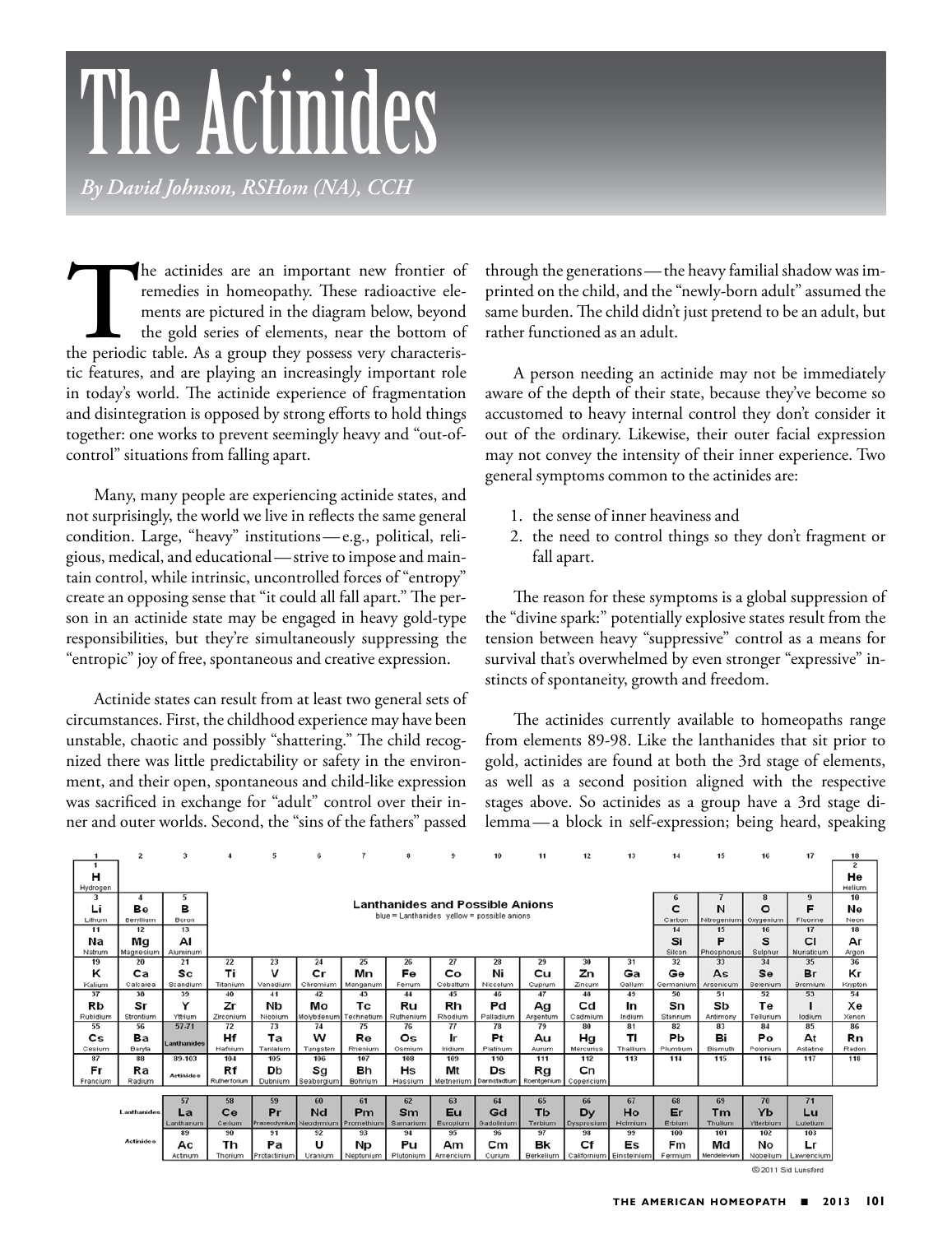# The **Actinides**

*By David Johnson, RSHom (NA), CCH*

The actinides are an important new frontier of remedies in homeopathy. These radioactive elements are pictured in the diagram below, beyond the gold series of elements, near the bottom of the periodic table. As a group the remedies in homeopathy. These radioactive elements are pictured in the diagram below, beyond the gold series of elements, near the bottom of tic features, and are playing an increasingly important role in today's world. The actinide experience of fragmentation and disintegration is opposed by strong efforts to hold things together: one works to prevent seemingly heavy and "out-ofcontrol" situations from falling apart.

Many, many people are experiencing actinide states, and not surprisingly, the world we live in reflects the same general condition. Large, "heavy" institutions—e.g., political, religious, medical, and educational—strive to impose and maintain control, while intrinsic, uncontrolled forces of "entropy" create an opposing sense that "it could all fall apart." The person in an actinide state may be engaged in heavy gold-type responsibilities, but they're simultaneously suppressing the "entropic" joy of free, spontaneous and creative expression.

Actinide states can result from at least two general sets of circumstances. First, the childhood experience may have been unstable, chaotic and possibly "shattering." The child recognized there was little predictability or safety in the environment, and their open, spontaneous and child-like expression was sacrificed in exchange for "adult" control over their inner and outer worlds. Second, the "sins of the fathers" passed

through the generations—the heavy familial shadow was imprinted on the child, and the "newly-born adult" assumed the same burden. The child didn't just pretend to be an adult, but rather functioned as an adult.

A person needing an actinide may not be immediately aware of the depth of their state, because they've become so accustomed to heavy internal control they don't consider it out of the ordinary. Likewise, their outer facial expression may not convey the intensity of their inner experience. Two general symptoms common to the actinides are:

- 1. the sense of inner heaviness and
- 2. the need to control things so they don't fragment or fall apart.

The reason for these symptoms is a global suppression of the "divine spark:" potentially explosive states result from the tension between heavy "suppressive" control as a means for survival that's overwhelmed by even stronger "expressive" instincts of spontaneity, growth and freedom.

The actinides currently available to homeopaths range from elements 89-98. Like the lanthanides that sit prior to gold, actinides are found at both the 3rd stage of elements, as well as a second position aligned with the respective stages above. So actinides as a group have a 3rd stage dilemma—a block in self-expression; being heard, speaking

|          | $\overline{2}$   | 3                |              | 5                      | 6                     | $\overline{7}$ | 8                                           | 9          | 10                        | 11                | 12             | 13       | 14        | 15          | 16        | 17         | 18             |
|----------|------------------|------------------|--------------|------------------------|-----------------------|----------------|---------------------------------------------|------------|---------------------------|-------------------|----------------|----------|-----------|-------------|-----------|------------|----------------|
|          |                  |                  |              |                        |                       |                |                                             |            |                           |                   |                |          |           |             |           |            | $\overline{2}$ |
| н        |                  |                  |              |                        |                       |                |                                             |            |                           |                   |                |          |           |             |           |            | He             |
| Hydrogen |                  |                  |              |                        |                       |                |                                             |            |                           |                   |                |          |           |             |           |            | Helium         |
| 3        |                  | 5                |              |                        |                       |                |                                             |            |                           |                   |                |          |           |             | 8         | 9          | 10             |
| Li       | Be               | в                |              |                        |                       |                | <b>Lanthanides and Possible Anions</b>      |            |                           |                   |                |          | C         | N           | $\circ$   | F          | Ne             |
| Lithum   | Beryllium        | Boron            |              |                        |                       |                | blue = Lanthanides yellow = possible anions |            |                           |                   |                |          | Carbon    | Nitrogenium | Oxygenium | Fluorine   | Neon           |
| 11       | 12               | 13               |              |                        |                       |                |                                             |            |                           |                   |                |          | 14        | 15          | 16        | 17         | 18             |
| Na       | Mg               | AI               |              |                        |                       |                |                                             |            |                           |                   |                |          | Si        | Р           | s         | <b>CI</b>  | Ar             |
| Natrum   | Magnesium        | Aluminum         |              |                        |                       |                |                                             |            |                           |                   |                |          | Silcon    | Phosphorus  | Sulphur   | Muriaticum | Argon          |
| 19       | 20               | 21               | 22           | 23                     | 24                    | 25             | 26                                          | 27         | 28                        | 29                | 30             | 31       | 32        | 33          | 34        | 35         | 36             |
| ĸ        | Ca               | Sc               | Τi           | v                      | $\mathbf{c}$ r        | Mn             | Fe                                          | Co         | Ni                        | Сu                | Ζn             | Ga       | Ge        | As          | Se        | Br         | Кr             |
| Kalium   | Calcarea         | Scandium         | Titanium     | Vanadium               | Chromium              | Manganum       | Ferrum                                      | Cobaltum   | Niccolum                  | Cuprum            | Zincum         | Gallum   | Germanium | Arsenicum   | Selenium  | Bromium    | Krypton        |
| 37       | 38               | 39               | 40           | 41                     | 42                    | 43             | 44                                          | 45         | 46                        | 47                | 48             | 49       | 50        | 51          | 52        | 53         | 54             |
| Rb       | Sr               | Υ                | Ζr           | NЬ                     | Mо                    | Тc             | Ru                                          | Rh         | Pd                        | Ag                | $_{\rm cd}$    | In       | Sn        | Sb          | Тe        |            | Xe             |
|          |                  |                  |              |                        |                       |                |                                             |            |                           |                   |                |          |           |             |           |            |                |
| Rubidium | Strontium        | Yttrium          | Zirconium    | Niobium                | Molybdenum Technetium |                | Ruthenium                                   | Rhodium    | Palladium                 | Argentum          | Cadmium        | Indium   | Stannum   | Antimony    | Tellurium | lodium     | Xenon          |
| 55       | 56               | 57-71            | 72           | 73                     | 74                    | 75             | 76                                          | 77         | 78                        | 79                | 80             | 81       | 82        | 83          | 84        | 85         | 86             |
| Cs       | Вa               |                  | Hf           | Тa                     | w                     | Re             | Os                                          | Ir         | Pt                        | Au                | Hg             | ΤI       | Pb        | Bi          | Po        | At         | Rn             |
| Cesium   | Baryta           | Lanthanides      | Hafnium      | Tantalum               | Tungsten              | Rhenium        | Osmium                                      | Iridium    | Platinum                  | Aurum             | Mercurius      | Thallium | Plumbum   | Bismuth     | Polonium  | Astatine   | Radon          |
| 87       | 88               | 89.103           | 104          | 105                    | 106                   | 107            | 108                                         | 109        | 110                       | 111               | 112            | 113      | 114       | 115         | 116       | 117        | 118            |
| Fr       | Ra               |                  | Rf           | Db                     | Sg                    | Bh             | H <sub>S</sub>                              | Mt         | Ds                        |                   | c <sub>n</sub> |          |           |             |           |            |                |
| Francium | Radium           | <b>Actinides</b> | Rutherforium | Dubnium                | Seaborgium            | Bohrium        | Hassium                                     | Meitnerium | Darmstactium              | Rg<br>Roentgenium | Copericium     |          |           |             |           |            |                |
|          |                  |                  |              |                        |                       |                |                                             |            |                           |                   |                |          |           |             |           |            |                |
|          |                  | 57               | 58           | 59                     | 60                    | 61             | 62                                          | 63         | 64                        | 65                | 66             | 67       | 68        | 69          | 70        | 71         |                |
|          | Lanthanides      | La               | Ce           | Pr                     | Nd                    | <b>Pm</b>      | Sm                                          | Eu         | Gd                        | Tb                | Dy             | Ho       | Er        | Tm          | Yb        | Lu         |                |
|          |                  | Lanthanum        | Cerium       | Praseodynium Neodymium |                       | Promethium     | Samarium                                    | Europium   | Gadolinium                | Terbium           | Dysprosium     | Holmium  | Erbium    | Thulium     | Ytterbium | Lutetium   |                |
|          |                  | 89               | 90           | 91                     | 92                    | 93             | 94                                          | 95         | 96                        | 97                | 98             | 99       | 100       | 101         | 102       | 103        |                |
|          | <b>Actinides</b> | Aс               | Th           | Pa                     | ш                     | Np             | Pu                                          | Am         | $\mathsf{c}_{\mathsf{m}}$ | Bk                | Cf             | Es       | Fm        | Md          | No        | Lr         |                |

@ 2011 Sid Lunsford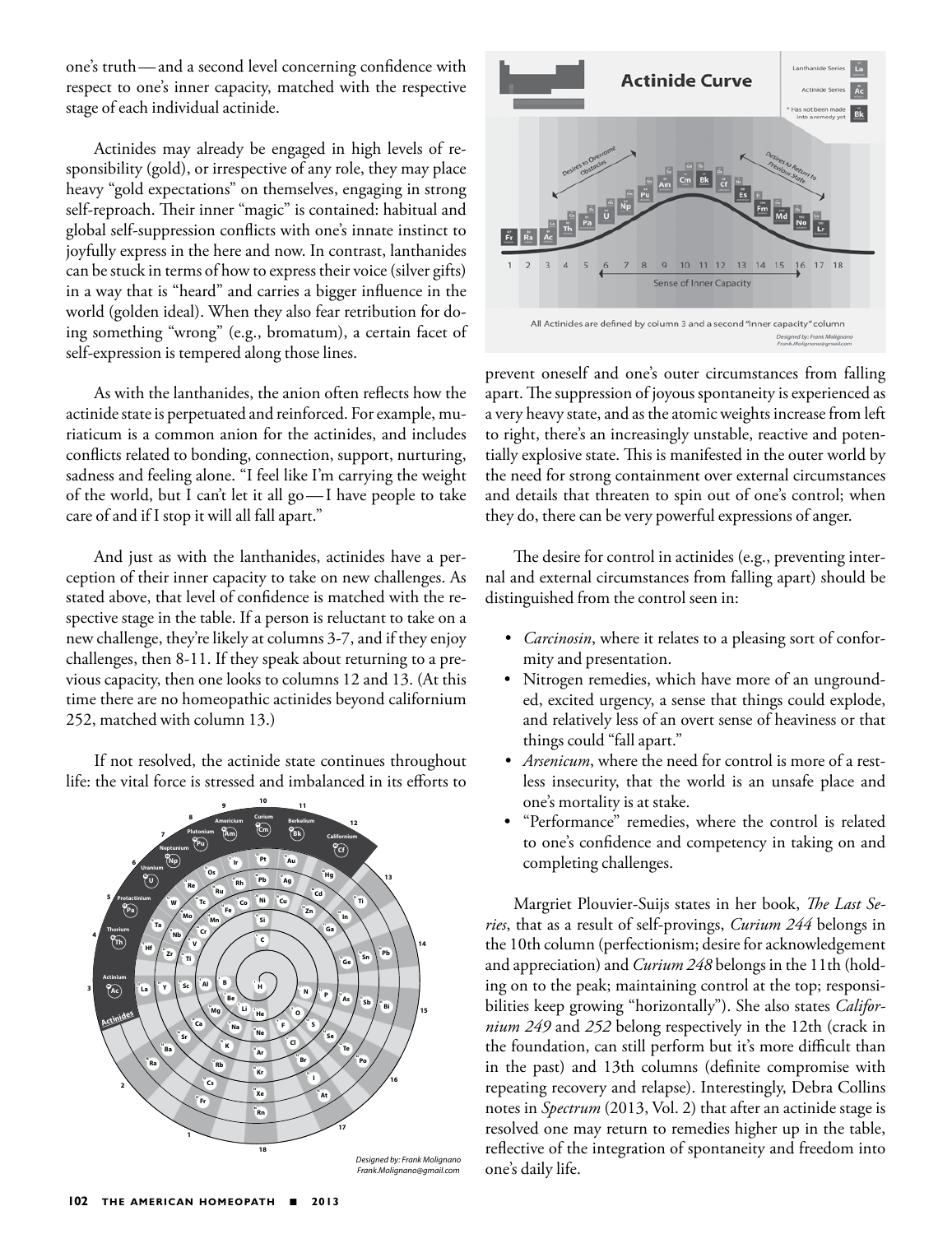one's truth—and a second level concerning confidence with respect to one's inner capacity, matched with the respective stage of each individual actinide.

Actinides may already be engaged in high levels of responsibility (gold), or irrespective of any role, they may place heavy "gold expectations" on themselves, engaging in strong self-reproach. Their inner "magic" is contained: habitual and global self-suppression conflicts with one's innate instinct to joyfully express in the here and now. In contrast, lanthanides can be stuck in terms of how to express their voice (silver gifts) in a way that is "heard" and carries a bigger influence in the world (golden ideal). When they also fear retribution for doing something "wrong" (e.g., bromatum), a certain facet of self-expression is tempered along those lines.

As with the lanthanides, the anion often reflects how the actinide state is perpetuated and reinforced. For example, muriaticum is a common anion for the actinides, and includes conflicts related to bonding, connection, support, nurturing, sadness and feeling alone. "I feel like I'm carrying the weight of the world, but I can't let it all go—I have people to take care of and if I stop it will all fall apart."

And just as with the lanthanides, actinides have a perception of their inner capacity to take on new challenges. As stated above, that level of confidence is matched with the respective stage in the table. If a person is reluctant to take on a new challenge, they're likely at columns 3-7, and if they enjoy challenges, then 8-11. If they speak about returning to a previous capacity, then one looks to columns 12 and 13. (At this time there are no homeopathic actinides beyond californium 252, matched with column 13.)

If not resolved, the actinide state continues throughout life: the vital force is stressed and imbalanced in its efforts to





prevent oneself and one's outer circumstances from falling apart. The suppression of joyous spontaneity is experienced as a very heavy state, and as the atomic weights increase from left to right, there's an increasingly unstable, reactive and potentially explosive state. This is manifested in the outer world by the need for strong containment over external circumstances and details that threaten to spin out of one's control; when they do, there can be very powerful expressions of anger.

The desire for control in actinides (e.g., preventing internal and external circumstances from falling apart) should be distinguished from the control seen in:

- *• Carcinosin*, where it relates to a pleasing sort of conformity and presentation.
- Nitrogen remedies, which have more of an ungrounded, excited urgency, a sense that things could explode, and relatively less of an overt sense of heaviness or that things could "fall apart."
- *• Arsenicum*, where the need for control is more of a restless insecurity, that the world is an unsafe place and one's mortality is at stake.
- "Performance" remedies, where the control is related to one's confidence and competency in taking on and completing challenges.

Margriet Plouvier-Suijs states in her book, *The Last Series*, that as a result of self-provings, *Curium 244* belongs in the 10th column (perfectionism; desire for acknowledgement and appreciation) and *Curium 248* belongs in the 11th (holding on to the peak; maintaining control at the top; responsibilities keep growing "horizontally"). She also states *Californium 249* and *252* belong respectively in the 12th (crack in the foundation, can still perform but it's more difficult than in the past) and 13th columns (definite compromise with repeating recovery and relapse). Interestingly, Debra Collins notes in *Spectrum* (2013, Vol. 2) that after an actinide stage is resolved one may return to remedies higher up in the table, reflective of the integration of spontaneity and freedom into one's daily life.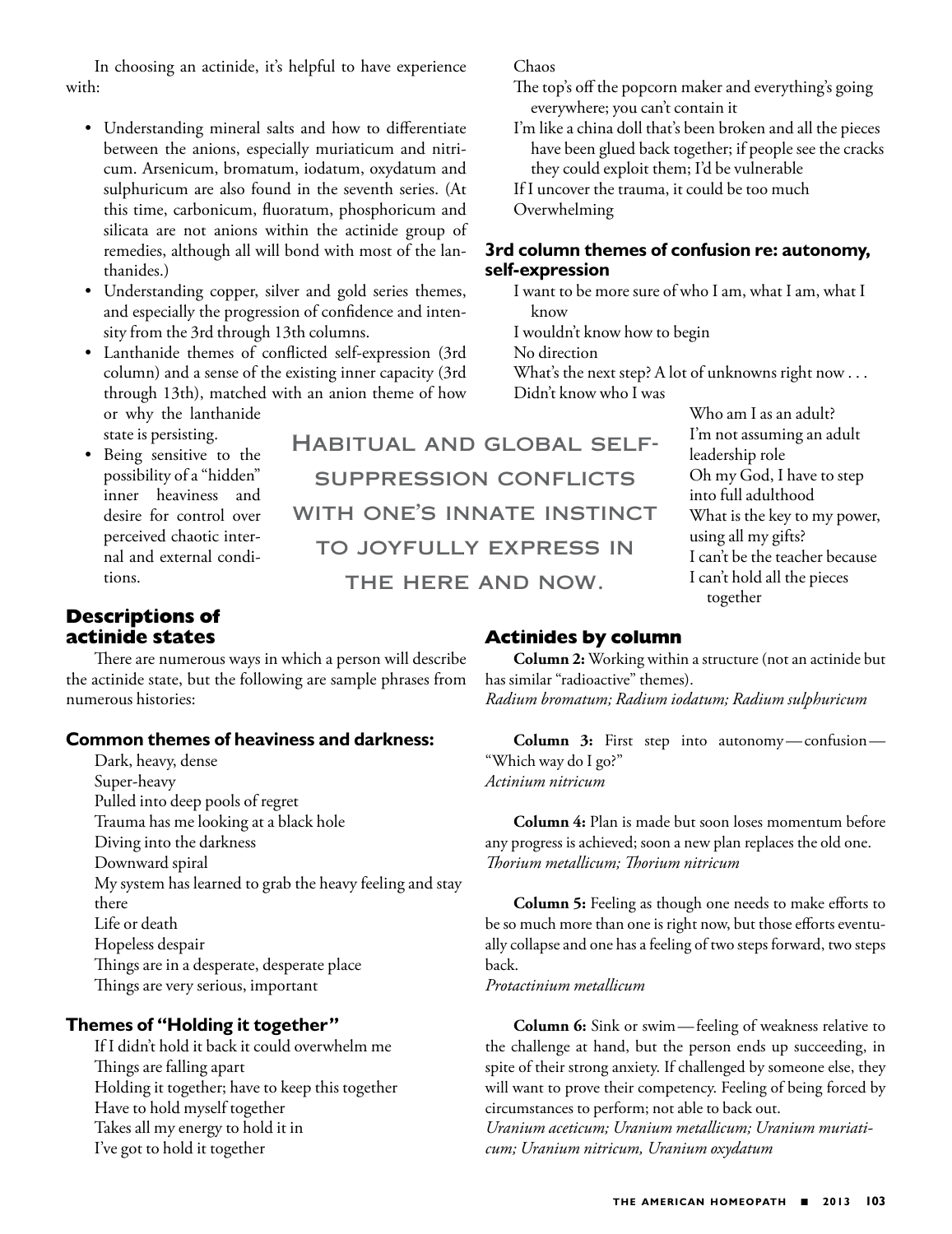In choosing an actinide, it's helpful to have experience with:

- Understanding mineral salts and how to differentiate between the anions, especially muriaticum and nitricum. Arsenicum, bromatum, iodatum, oxydatum and sulphuricum are also found in the seventh series. (At this time, carbonicum, fluoratum, phosphoricum and silicata are not anions within the actinide group of remedies, although all will bond with most of the lanthanides.)
- Understanding copper, silver and gold series themes, and especially the progression of confidence and intensity from the 3rd through 13th columns.
- Lanthanide themes of conflicted self-expression (3rd column) and a sense of the existing inner capacity (3rd through 13th), matched with an anion theme of how or why the lanthanide state is persisting.
- Being sensitive to the possibility of a "hidden" inner heaviness and desire for control over perceived chaotic internal and external conditions.

Habitual and global selfsuppression conflicts with one's innate instinct to joyfully express in THE HERE AND NOW.

Chaos

Overwhelming

**self-expression**

know

No direction

I wouldn't know how to begin

Didn't know who I was

#### Who am I as an adult? I'm not assuming an adult leadership role Oh my God, I have to step into full adulthood What is the key to my power, using all my gifts? I can't be the teacher because I can't hold all the pieces together

## **Descriptions of actinide states**

There are numerous ways in which a person will describe the actinide state, but the following are sample phrases from numerous histories:

#### **Common themes of heaviness and darkness:**

Dark, heavy, dense Super-heavy Pulled into deep pools of regret Trauma has me looking at a black hole Diving into the darkness Downward spiral My system has learned to grab the heavy feeling and stay there Life or death Hopeless despair Things are in a desperate, desperate place Things are very serious, important

## **Themes of "Holding it together"**

If I didn't hold it back it could overwhelm me Things are falling apart Holding it together; have to keep this together Have to hold myself together Takes all my energy to hold it in I've got to hold it together

# **Actinides by column**

**Column 2:** Working within a structure (not an actinide but has similar "radioactive" themes). *Radium bromatum; Radium iodatum; Radium sulphuricum*

The top's off the popcorn maker and everything's going

I'm like a china doll that's been broken and all the pieces have been glued back together; if people see the cracks

they could exploit them; I'd be vulnerable If I uncover the trauma, it could be too much

**3rd column themes of confusion re: autonomy,** 

I want to be more sure of who I am, what I am, what I

What's the next step? A lot of unknowns right now . . .

everywhere; you can't contain it

**Column 3:** First step into autonomy—confusion— "Which way do I go?" *Actinium nitricum*

**Column 4:** Plan is made but soon loses momentum before any progress is achieved; soon a new plan replaces the old one. *Thorium metallicum; Thorium nitricum*

**Column 5:** Feeling as though one needs to make efforts to be so much more than one is right now, but those efforts eventually collapse and one has a feeling of two steps forward, two steps back.

*Protactinium metallicum*

**Column 6:** Sink or swim—feeling of weakness relative to the challenge at hand, but the person ends up succeeding, in spite of their strong anxiety. If challenged by someone else, they will want to prove their competency. Feeling of being forced by circumstances to perform; not able to back out.

*Uranium aceticum; Uranium metallicum; Uranium muriaticum; Uranium nitricum, Uranium oxydatum*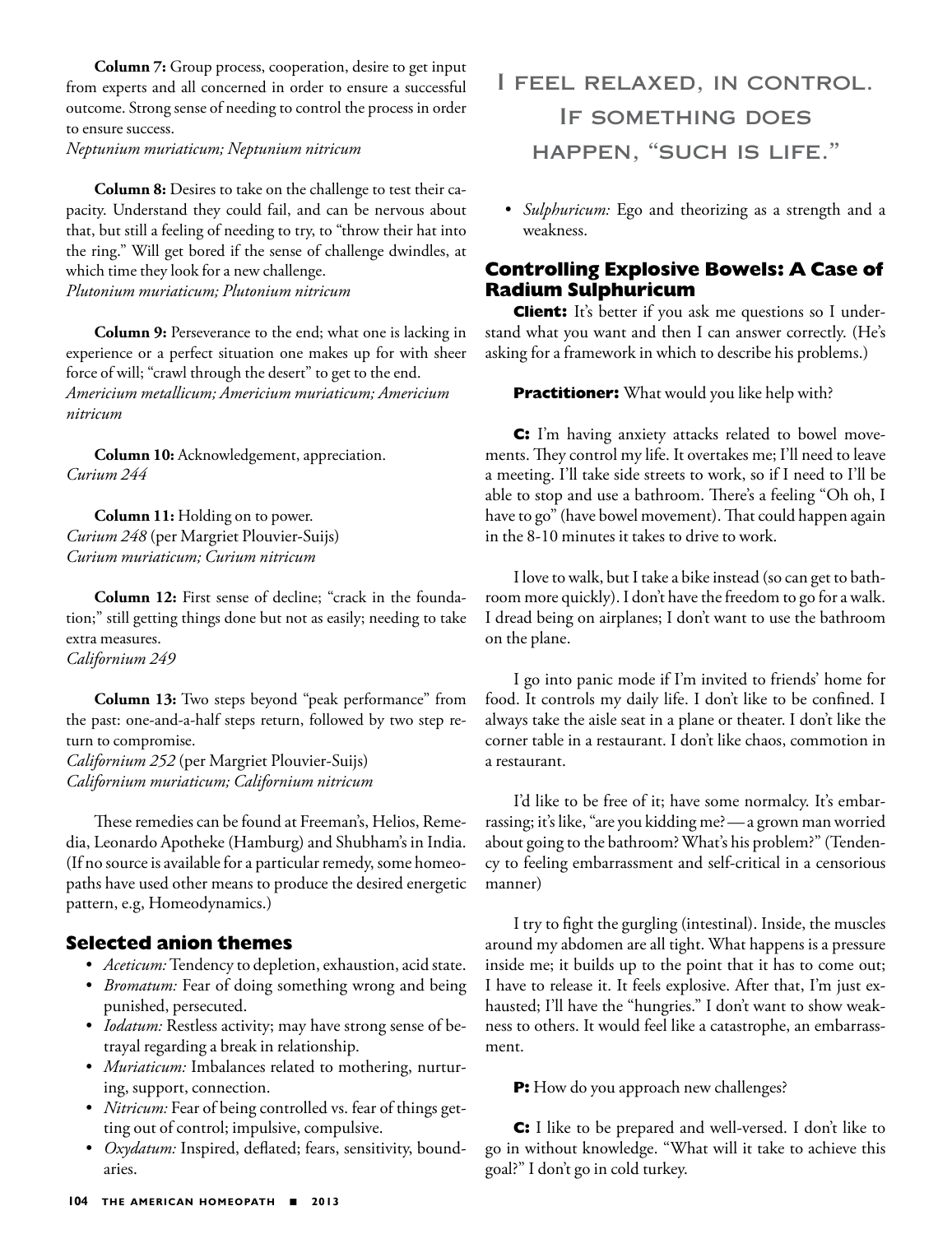**Column 7:** Group process, cooperation, desire to get input from experts and all concerned in order to ensure a successful outcome. Strong sense of needing to control the process in order to ensure success.

*Neptunium muriaticum; Neptunium nitricum*

**Column 8:** Desires to take on the challenge to test their capacity. Understand they could fail, and can be nervous about that, but still a feeling of needing to try, to "throw their hat into the ring." Will get bored if the sense of challenge dwindles, at which time they look for a new challenge. *Plutonium muriaticum; Plutonium nitricum*

**Column 9:** Perseverance to the end; what one is lacking in experience or a perfect situation one makes up for with sheer force of will; "crawl through the desert" to get to the end. *Americium metallicum; Americium muriaticum; Americium nitricum*

**Column 10:** Acknowledgement, appreciation. *Curium 244*

**Column 11:** Holding on to power. *Curium 248* (per Margriet Plouvier-Suijs) *Curium muriaticum; Curium nitricum*

**Column 12:** First sense of decline; "crack in the foundation;" still getting things done but not as easily; needing to take extra measures. *Californium 249*

**Column 13:** Two steps beyond "peak performance" from the past: one-and-a-half steps return, followed by two step return to compromise.

*Californium 252* (per Margriet Plouvier-Suijs) *Californium muriaticum; Californium nitricum*

These remedies can be found at Freeman's, Helios, Remedia, Leonardo Apotheke (Hamburg) and Shubham's in India. (If no source is available for a particular remedy, some homeopaths have used other means to produce the desired energetic pattern, e.g, Homeodynamics.)

#### **Selected anion themes**

- *• Aceticum:* Tendency to depletion, exhaustion, acid state.
- *• Bromatum:* Fear of doing something wrong and being punished, persecuted.
- *• Iodatum:* Restless activity; may have strong sense of betrayal regarding a break in relationship.
- *• Muriaticum:* Imbalances related to mothering, nurturing, support, connection.
- *• Nitricum:* Fear of being controlled vs. fear of things getting out of control; impulsive, compulsive.
- *• Oxydatum:* Inspired, deflated; fears, sensitivity, boundaries.
- I feel relaxed, in control. If something does happen, "such is life."
- *• Sulphuricum:* Ego and theorizing as a strength and a weakness.

#### **Controlling Explosive Bowels: A Case of Radium Sulphuricum**

**Client:** It's better if you ask me questions so I understand what you want and then I can answer correctly. (He's asking for a framework in which to describe his problems.)

**Practitioner:** What would you like help with?

**C:** I'm having anxiety attacks related to bowel movements. They control my life. It overtakes me; I'll need to leave a meeting. I'll take side streets to work, so if I need to I'll be able to stop and use a bathroom. There's a feeling "Oh oh, I have to go" (have bowel movement). That could happen again in the 8-10 minutes it takes to drive to work.

I love to walk, but I take a bike instead (so can get to bathroom more quickly). I don't have the freedom to go for a walk. I dread being on airplanes; I don't want to use the bathroom on the plane.

I go into panic mode if I'm invited to friends' home for food. It controls my daily life. I don't like to be confined. I always take the aisle seat in a plane or theater. I don't like the corner table in a restaurant. I don't like chaos, commotion in a restaurant.

I'd like to be free of it; have some normalcy. It's embarrassing; it's like, "are you kidding me?—a grown man worried about going to the bathroom? What's his problem?" (Tendency to feeling embarrassment and self-critical in a censorious manner)

I try to fight the gurgling (intestinal). Inside, the muscles around my abdomen are all tight. What happens is a pressure inside me; it builds up to the point that it has to come out; I have to release it. It feels explosive. After that, I'm just exhausted; I'll have the "hungries." I don't want to show weakness to others. It would feel like a catastrophe, an embarrassment.

**P:** How do you approach new challenges?

**C:** I like to be prepared and well-versed. I don't like to go in without knowledge. "What will it take to achieve this goal?" I don't go in cold turkey.